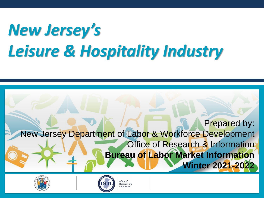# *New Jersey's Leisure & Hospitality Industry*







Office of Research and nformation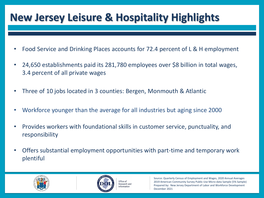## **New Jersey Leisure & Hospitality Highlights**

- Food Service and Drinking Places accounts for 72.4 percent of L & H employment
- 24,650 establishments paid its 281,780 employees over \$8 billion in total wages, 3.4 percent of all private wages
- Three of 10 jobs located in 3 counties: Bergen, Monmouth & Atlantic
- Workforce younger than the average for all industries but aging since 2000
- Provides workers with foundational skills in customer service, punctuality, and responsibility
- Offers substantial employment opportunities with part-time and temporary work plentiful





Office of Research and Information

Source: Quarterly Census of Employment and Wages, 2020 Annual Averages 2019 American Community Survey Public Use Micro-data Sample (5% Sample) Prepared by: New Jersey Department of Labor and Workforce Development December 2021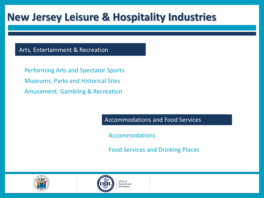## **New Jersey Leisure & Hospitality Industries**

#### Arts, Entertainment & Recreation

Performing Arts and Spectator Sports Museums, Parks and Historical Sites Amusement, Gambling & Recreation

Accommodations and Food Services

Accommodations

Food Services and Drinking Places





Office of Research and nformation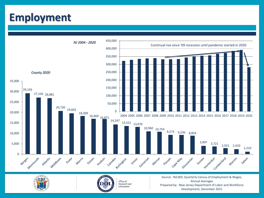### **Employment**







Office of Research and Information

Source: NJLWD, Quarterly Census of Employment & Wages, Annual Averages Prepared by: New Jersey Department of Labor and Workforce Development, December 2021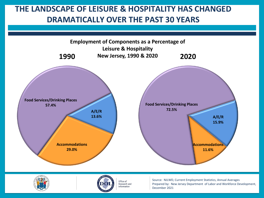#### **THE LANDSCAPE OF LEISURE & HOSPITALITY HAS CHANGED DRAMATICALLY OVER THE PAST 30 YEARS**







Office of Research and Information

Source: NJLWD, Current Employment Statistics, Annual Averages Prepared by: New Jersey Department of Labor and Workforce Development, December 2021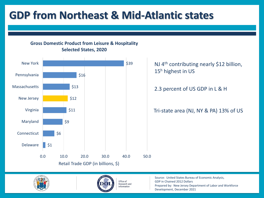## **GDP from Northeast & Mid-Atlantic states**

**Gross Domestic Product from Leisure & Hospitality Selected States, 2020**







Office of **Research and** Information

Source: United States Bureau of Economic Analysis, GDP in Chained 2012 Dollars Prepared by: New Jersey Department of Labor and Workforce Development, December 2021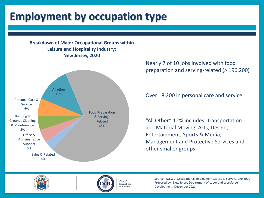## **Employment by occupation type**

#### **Breakdown of Major Occupational Groups within Leisure and Hospitality Industry: New Jersey, 2020**



Nearly 7 of 10 jobs involved with food preparation and serving-related (> 196,200)

Over 18,200 in personal care and service

"All Other" 12% includes: Transportation and Material Moving; Arts, Design, Entertainment, Sports & Media; Management and Protective Services and other smaller groups





Office of Research and Information

Source: NJLWD, Occupational Employment Statistics Survey, June 2020 Prepared by: New Jersey Department of Labor and Workforce Development, December 2021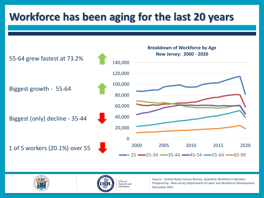## **Workforce has been aging for the last 20 years**







Office of Research and Information

Source: United States Census Bureau, Quarterly Workforce Indicators Prepared by: New Jersey Department of Labor and Workforce Development December 2021